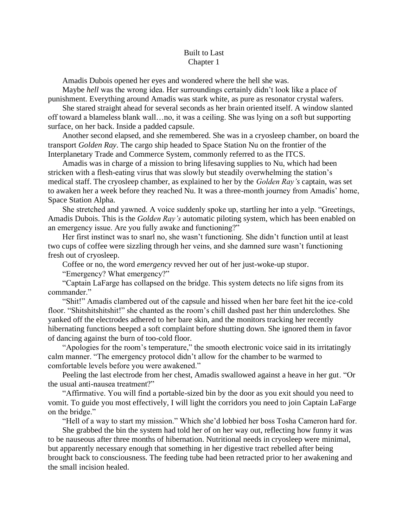## Built to Last Chapter 1

Amadis Dubois opened her eyes and wondered where the hell she was.

Maybe *hell* was the wrong idea. Her surroundings certainly didn't look like a place of punishment. Everything around Amadis was stark white, as pure as resonator crystal wafers.

She stared straight ahead for several seconds as her brain oriented itself. A window slanted off toward a blameless blank wall…no, it was a ceiling. She was lying on a soft but supporting surface, on her back. Inside a padded capsule.

Another second elapsed, and she remembered. She was in a cryosleep chamber, on board the transport *Golden Ray*. The cargo ship headed to Space Station Nu on the frontier of the Interplanetary Trade and Commerce System, commonly referred to as the ITCS.

Amadis was in charge of a mission to bring lifesaving supplies to Nu, which had been stricken with a flesh-eating virus that was slowly but steadily overwhelming the station's medical staff. The cryosleep chamber, as explained to her by the *Golden Ray's* captain, was set to awaken her a week before they reached Nu. It was a three-month journey from Amadis' home, Space Station Alpha.

She stretched and yawned. A voice suddenly spoke up, startling her into a yelp. "Greetings, Amadis Dubois. This is the *Golden Ray's* automatic piloting system, which has been enabled on an emergency issue. Are you fully awake and functioning?"

Her first instinct was to snarl no, she wasn't functioning. She didn't function until at least two cups of coffee were sizzling through her veins, and she damned sure wasn't functioning fresh out of cryosleep.

Coffee or no, the word *emergency* revved her out of her just-woke-up stupor.

"Emergency? What emergency?"

"Captain LaFarge has collapsed on the bridge. This system detects no life signs from its commander."

"Shit!" Amadis clambered out of the capsule and hissed when her bare feet hit the ice-cold floor. "Shitshitshitshit!" she chanted as the room's chill dashed past her thin underclothes. She yanked off the electrodes adhered to her bare skin, and the monitors tracking her recently hibernating functions beeped a soft complaint before shutting down. She ignored them in favor of dancing against the burn of too-cold floor.

"Apologies for the room's temperature," the smooth electronic voice said in its irritatingly calm manner. "The emergency protocol didn't allow for the chamber to be warmed to comfortable levels before you were awakened."

Peeling the last electrode from her chest, Amadis swallowed against a heave in her gut. "Or the usual anti-nausea treatment?"

"Affirmative. You will find a portable-sized bin by the door as you exit should you need to vomit. To guide you most effectively, I will light the corridors you need to join Captain LaFarge on the bridge."

"Hell of a way to start my mission." Which she'd lobbied her boss Tosha Cameron hard for.

She grabbed the bin the system had told her of on her way out, reflecting how funny it was to be nauseous after three months of hibernation. Nutritional needs in cryosleep were minimal, but apparently necessary enough that something in her digestive tract rebelled after being brought back to consciousness. The feeding tube had been retracted prior to her awakening and the small incision healed.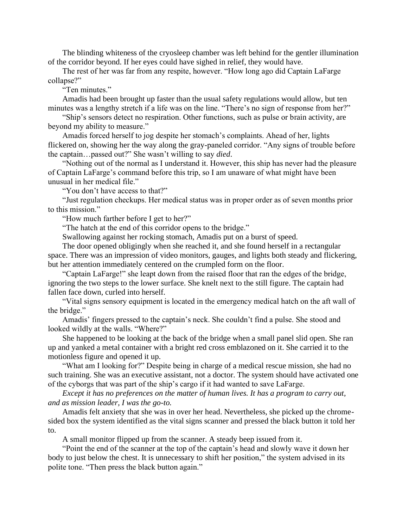The blinding whiteness of the cryosleep chamber was left behind for the gentler illumination of the corridor beyond. If her eyes could have sighed in relief, they would have.

The rest of her was far from any respite, however. "How long ago did Captain LaFarge collapse?"

"Ten minutes."

Amadis had been brought up faster than the usual safety regulations would allow, but ten minutes was a lengthy stretch if a life was on the line. "There's no sign of response from her?"

"Ship's sensors detect no respiration. Other functions, such as pulse or brain activity, are beyond my ability to measure."

Amadis forced herself to jog despite her stomach's complaints. Ahead of her, lights flickered on, showing her the way along the gray-paneled corridor. "Any signs of trouble before the captain…passed out?" She wasn't willing to say *died*.

"Nothing out of the normal as I understand it. However, this ship has never had the pleasure of Captain LaFarge's command before this trip, so I am unaware of what might have been unusual in her medical file."

"You don't have access to that?"

"Just regulation checkups. Her medical status was in proper order as of seven months prior to this mission."

"How much farther before I get to her?"

"The hatch at the end of this corridor opens to the bridge."

Swallowing against her rocking stomach, Amadis put on a burst of speed.

The door opened obligingly when she reached it, and she found herself in a rectangular space. There was an impression of video monitors, gauges, and lights both steady and flickering, but her attention immediately centered on the crumpled form on the floor.

"Captain LaFarge!" she leapt down from the raised floor that ran the edges of the bridge, ignoring the two steps to the lower surface. She knelt next to the still figure. The captain had fallen face down, curled into herself.

"Vital signs sensory equipment is located in the emergency medical hatch on the aft wall of the bridge."

Amadis' fingers pressed to the captain's neck. She couldn't find a pulse. She stood and looked wildly at the walls. "Where?"

She happened to be looking at the back of the bridge when a small panel slid open. She ran up and yanked a metal container with a bright red cross emblazoned on it. She carried it to the motionless figure and opened it up.

"What am I looking for?" Despite being in charge of a medical rescue mission, she had no such training. She was an executive assistant, not a doctor. The system should have activated one of the cyborgs that was part of the ship's cargo if it had wanted to save LaFarge.

*Except it has no preferences on the matter of human lives. It has a program to carry out, and as mission leader, I was the go-to.*

Amadis felt anxiety that she was in over her head. Nevertheless, she picked up the chromesided box the system identified as the vital signs scanner and pressed the black button it told her to.

A small monitor flipped up from the scanner. A steady beep issued from it.

"Point the end of the scanner at the top of the captain's head and slowly wave it down her body to just below the chest. It is unnecessary to shift her position," the system advised in its polite tone. "Then press the black button again."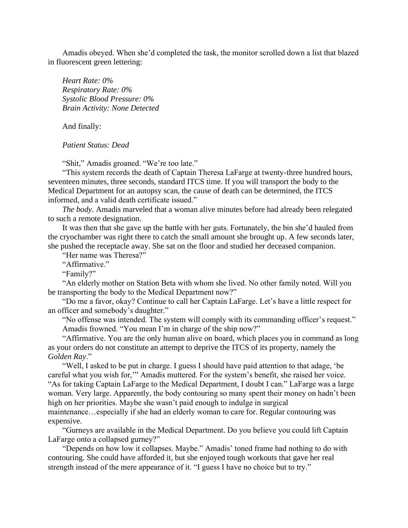Amadis obeyed. When she'd completed the task, the monitor scrolled down a list that blazed in fluorescent green lettering:

*Heart Rate: 0% Respiratory Rate: 0% Systolic Blood Pressure: 0% Brain Activity: None Detected*

And finally:

*Patient Status: Dead*

"Shit," Amadis groaned. "We're too late."

"This system records the death of Captain Theresa LaFarge at twenty-three hundred hours, seventeen minutes, three seconds, standard ITCS time. If you will transport the body to the Medical Department for an autopsy scan, the cause of death can be determined, the ITCS informed, and a valid death certificate issued."

*The body.* Amadis marveled that a woman alive minutes before had already been relegated to such a remote designation.

It was then that she gave up the battle with her guts. Fortunately, the bin she'd hauled from the cryochamber was right there to catch the small amount she brought up. A few seconds later, she pushed the receptacle away. She sat on the floor and studied her deceased companion.

"Her name was Theresa?"

"Affirmative."

"Family?"

"An elderly mother on Station Beta with whom she lived. No other family noted. Will you be transporting the body to the Medical Department now?"

"Do me a favor, okay? Continue to call her Captain LaFarge. Let's have a little respect for an officer and somebody's daughter."

"No offense was intended. The system will comply with its commanding officer's request." Amadis frowned. "You mean I'm in charge of the ship now?"

"Affirmative. You are the only human alive on board, which places you in command as long as your orders do not constitute an attempt to deprive the ITCS of its property, namely the *Golden Ray*."

"Well, I asked to be put in charge. I guess I should have paid attention to that adage, 'be careful what you wish for,'" Amadis muttered. For the system's benefit, she raised her voice. "As for taking Captain LaFarge to the Medical Department, I doubt I can." LaFarge was a large woman. Very large. Apparently, the body contouring so many spent their money on hadn't been high on her priorities. Maybe she wasn't paid enough to indulge in surgical maintenance…especially if she had an elderly woman to care for. Regular contouring was expensive.

"Gurneys are available in the Medical Department. Do you believe you could lift Captain LaFarge onto a collapsed gurney?"

"Depends on how low it collapses. Maybe." Amadis' toned frame had nothing to do with contouring. She could have afforded it, but she enjoyed tough workouts that gave her real strength instead of the mere appearance of it. "I guess I have no choice but to try."